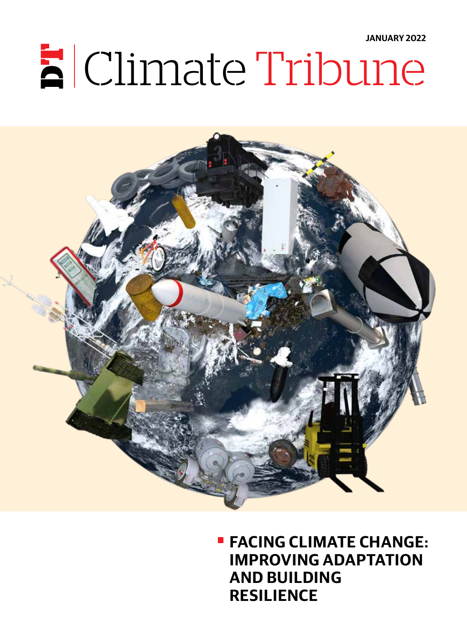**JANUARY 2022**

# $\mathbf{E}$  Climate Tribune



**FACING CLIMATE CHANGE: IMPROVING ADAPTATION AND BUILDING RESILIENCE**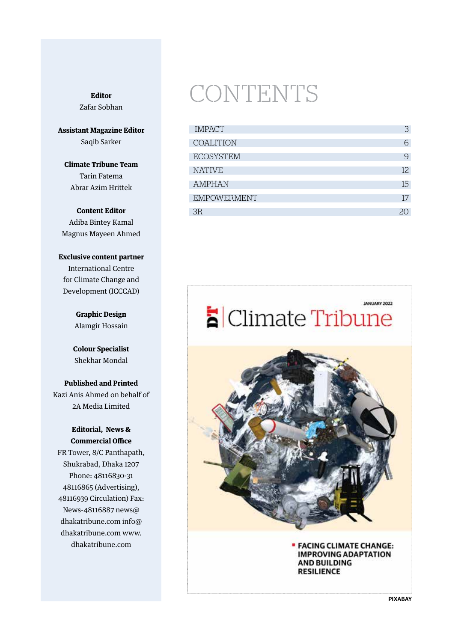#### **Editor** Zafar Sobhan

**Assistant Magazine Editor** Saqib Sarker

**Climate Tribune Team** Tarin Fatema Abrar Azim Hrittek

**Content Editor** Adiba Bintey Kamal Magnus Mayeen Ahmed

**Exclusive content partner** International Centre for Climate Change and Development (ICCCAD)

> **Graphic Design** Alamgir Hossain

**Colour Specialist** Shekhar Mondal

**Published and Printed** Kazi Anis Ahmed on behalf of 2A Media Limited

#### **Editorial, News & Commercial Office**

FR Tower, 8/C Panthapath, Shukrabad, Dhaka 1207 Phone: 48116830-31 48116865 (Advertising), 48116939 Circulation) Fax: News-48116887 news@ dhakatribune.com info@ dhakatribune.com www. dhakatribune.com

### CONTENTS

| <b>IMPACT</b>      | 3   |
|--------------------|-----|
| <b>COALITION</b>   | 6   |
| <b>ECOSYSTEM</b>   | 9   |
| <b>NATIVE</b>      | 12. |
| <b>AMPHAN</b>      | 15  |
| <b>EMPOWERMENT</b> | 17  |
| 3R                 |     |



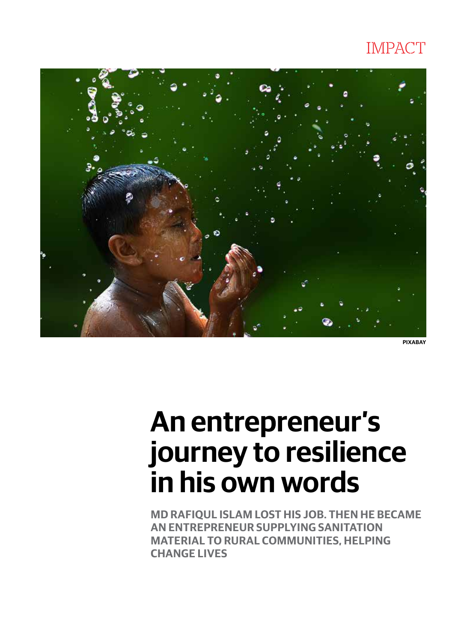### IMPACT



**PIXABAY**

# **An entrepreneur's journey to resilience in his own words**

**MD RAFIQUL ISLAM LOST HIS JOB. THEN HE BECAME AN ENTREPRENEUR SUPPLYING SANITATION MATERIAL TO RURAL COMMUNITIES, HELPING CHANGE LIVES**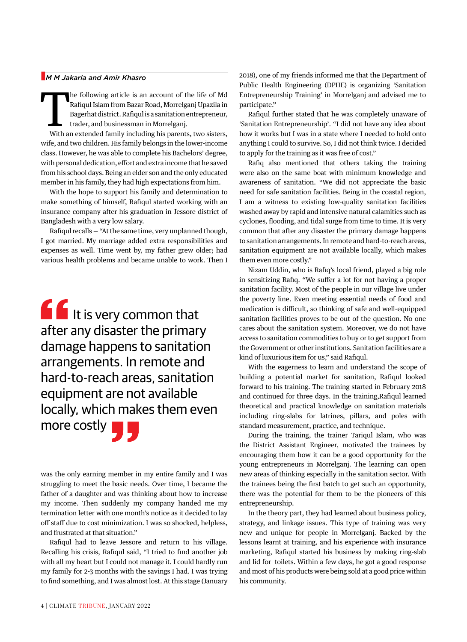#### n*M M Jakaria and Amir Khasro*

he following article is an account of the life of Md Rafiqul Islam from Bazar Road, Morrelganj Upazila in Bagerhat district. Rafiqul is a sanitation entrepreneur, trader, and businessman in Morrelganj.

With an extended family including his parents, two sisters, wife, and two children. His family belongs in the lower-income class. However, he was able to complete his Bachelors' degree, with personal dedication, effort and extra income that he saved from his school days. Being an elder son and the only educated member in his family, they had high expectations from him.

With the hope to support his family and determination to make something of himself, Rafiqul started working with an insurance company after his graduation in Jessore district of Bangladesh with a very low salary.

Rafiqul recalls — "At the same time, very unplanned though, I got married. My marriage added extra responsibilities and expenses as well. Time went by, my father grew older; had various health problems and became unable to work. Then I

If It is very common that after any disaster the primary damage happens to sanitation arrangements. In remote and hard-to-reach areas, sanitation equipment are not available locally, which makes them even more costly

was the only earning member in my entire family and I was struggling to meet the basic needs. Over time, I became the father of a daughter and was thinking about how to increase my income. Then suddenly my company handed me my termination letter with one month's notice as it decided to lay off staff due to cost minimization. I was so shocked, helpless, and frustrated at that situation."

Rafiqul had to leave Jessore and return to his village. Recalling his crisis, Rafiqul said, "I tried to find another job with all my heart but I could not manage it. I could hardly run my family for 2-3 months with the savings I had. I was trying to find something, and I was almost lost. At this stage (January

2018), one of my friends informed me that the Department of Public Health Engineering (DPHE) is organizing 'Sanitation Entrepreneurship Training' in Morrelganj and advised me to participate."

Rafiqul further stated that he was completely unaware of 'Sanitation Entrepreneurship'. "I did not have any idea about how it works but I was in a state where I needed to hold onto anything I could to survive. So, I did not think twice. I decided to apply for the training as it was free of cost."

Rafiq also mentioned that others taking the training were also on the same boat with minimum knowledge and awareness of sanitation. "We did not appreciate the basic need for safe sanitation facilities. Being in the coastal region, I am a witness to existing low-quality sanitation facilities washed away by rapid and intensive natural calamities such as cyclones, flooding, and tidal surge from time to time. It is very common that after any disaster the primary damage happens to sanitation arrangements. In remote and hard-to-reach areas, sanitation equipment are not available locally, which makes them even more costly."

Nizam Uddin, who is Rafiq's local friend, played a big role in sensitizing Rafiq. "We suffer a lot for not having a proper sanitation facility. Most of the people in our village live under the poverty line. Even meeting essential needs of food and medication is difficult, so thinking of safe and well-equipped sanitation facilities proves to be out of the question. No one cares about the sanitation system. Moreover, we do not have access to sanitation commodities to buy or to get support from the Government or other institutions. Sanitation facilities are a kind of luxurious item for us," said Rafiqul.

With the eagerness to learn and understand the scope of building a potential market for sanitation, Rafiqul looked forward to his training. The training started in February 2018 and continued for three days. In the training,Rafiqul learned theoretical and practical knowledge on sanitation materials including ring-slabs for latrines, pillars, and poles with standard measurement, practice, and technique.

During the training, the trainer Tariqul Islam, who was the District Assistant Engineer, motivated the trainees by encouraging them how it can be a good opportunity for the young entrepreneurs in Morrelganj. The learning can open new areas of thinking especially in the sanitation sector. With the trainees being the first batch to get such an opportunity, there was the potential for them to be the pioneers of this entrepreneurship.

In the theory part, they had learned about business policy, strategy, and linkage issues. This type of training was very new and unique for people in Morrelganj. Backed by the lessons learnt at training, and his experience with insurance marketing, Rafiqul started his business by making ring-slab and lid for toilets. Within a few days, he got a good response and most of his products were being sold at a good price within his community.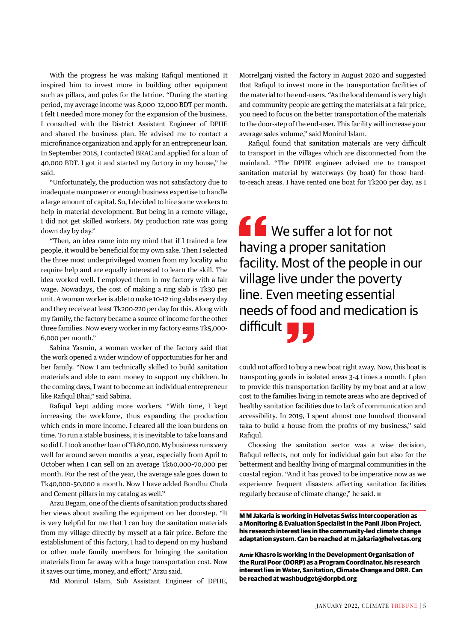With the progress he was making Rafiqul mentioned It inspired him to invest more in building other equipment such as pillars, and poles for the latrine. "During the starting period, my average income was 8,000–12,000 BDT per month. I felt I needed more money for the expansion of the business. I consulted with the District Assistant Engineer of DPHE and shared the business plan. He advised me to contact a microfinance organization and apply for an entrepreneur loan. In September 2018, I contacted BRAC and applied for a loan of 40,000 BDT. I got it and started my factory in my house," he said.

"Unfortunately, the production was not satisfactory due to inadequate manpower or enough business expertise to handle a large amount of capital. So, I decided to hire some workers to help in material development. But being in a remote village, I did not get skilled workers. My production rate was going down day by day."

"Then, an idea came into my mind that if I trained a few people, it would be beneficial for my own sake. Then I selected the three most underprivileged women from my locality who require help and are equally interested to learn the skill. The idea worked well. I employed them in my factory with a fair wage. Nowadays, the cost of making a ring slab is Tk30 per unit. A woman worker is able to make 10-12 ring slabs every day and they receive at least Tk200-220 per day for this. Along with my family, the factory became a source of income for the other three families. Now every worker in my factory earns Tk5,000- 6,000 per month."

Sabina Yasmin, a woman worker of the factory said that the work opened a wider window of opportunities for her and her family. "Now I am technically skilled to build sanitation materials and able to earn money to support my children. In the coming days, I want to become an individual entrepreneur like Rafiqul Bhai," said Sabina.

Rafiqul kept adding more workers. "With time, I kept increasing the workforce, thus expanding the production which ends in more income. I cleared all the loan burdens on time. To run a stable business, it is inevitable to take loans and so did I. I took another loan of Tk80,000. My business runs very well for around seven months a year, especially from April to October when I can sell on an average Tk60,000–70,000 per month. For the rest of the year, the average sale goes down to Tk40,000–50,000 a month. Now I have added Bondhu Chula and Cement pillars in my catalog as well."

Arzu Begam, one of the clients of sanitation products shared her views about availing the equipment on her doorstep. "It is very helpful for me that I can buy the sanitation materials from my village directly by myself at a fair price. Before the establishment of this factory, I had to depend on my husband or other male family members for bringing the sanitation materials from far away with a huge transportation cost. Now it saves our time, money, and effort," Arzu said.

Md Monirul Islam, Sub Assistant Engineer of DPHE,

Morrelganj visited the factory in August 2020 and suggested that Rafiqul to invest more in the transportation facilities of the material to the end-users. "As the local demand is very high and community people are getting the materials at a fair price, you need to focus on the better transportation of the materials to the door-step of the end-user. This facility will increase your average sales volume," said Monirul Islam.

Rafiqul found that sanitation materials are very difficult to transport in the villages which are disconnected from the mainland. "The DPHE engineer advised me to transport sanitation material by waterways (by boat) for those hardto-reach areas. I have rented one boat for Tk200 per day, as I

**C** We suffer a lot for not having a proper sanitation facility. Most of the people in our village live under the poverty line. Even meeting essential needs of food and medication is difficult **T** 

could not afford to buy a new boat right away. Now, this boat is transporting goods in isolated areas 3-4 times a month. I plan to provide this transportation facility by my boat and at a low cost to the families living in remote areas who are deprived of healthy sanitation facilities due to lack of communication and accessibility. In 2019, I spent almost one hundred thousand taka to build a house from the profits of my business," said Rafiqul.

Choosing the sanitation sector was a wise decision, Rafiqul reflects, not only for individual gain but also for the betterment and healthy living of marginal communities in the coastal region. "And it has proved to be imperative now as we experience frequent disasters affecting sanitation facilities regularly because of climate change," he said.  $\square$ 

**M M Jakaria is working in Helvetas Swiss Intercooperation as a Monitoring & Evaluation Specialist in the Panii Jibon Project, his research interest lies in the community-led climate change adaptation system. Can be reached at m.jakaria@helvetas.org**

**Amir Khasro is working in the Development Organisation of the Rural Poor (DORP) as a Program Coordinator, his research interest lies in Water, Sanitation, Climate Change and DRR. Can be reached at washbudget@dorpbd.org**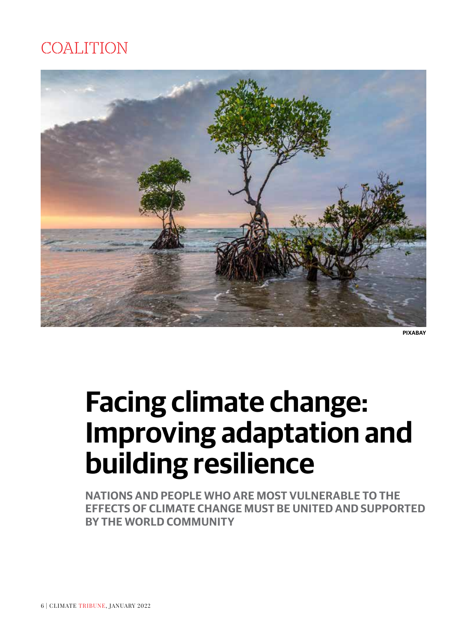### COALITION



**PIXABAY**

# **Facing climate change: Improving adaptation and building resilience**

**NATIONS AND PEOPLE WHO ARE MOST VULNERABLE TO THE EFFECTS OF CLIMATE CHANGE MUST BE UNITED AND SUPPORTED BY THE WORLD COMMUNITY**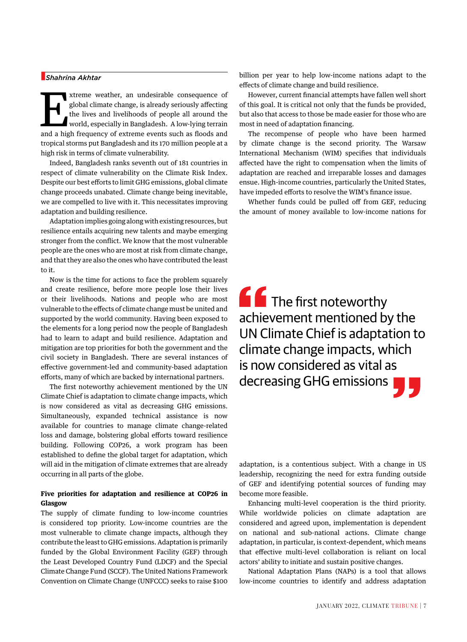#### n*Shahrina Akhtar*

xtreme weather, an undesirable consequence of global climate change, is already seriously affecting the lives and livelihoods of people all around the world, especially in Bangladesh. A low-lying terrain and a high frequen global climate change, is already seriously affecting the lives and livelihoods of people all around the world, especially in Bangladesh. A low-lying terrain and a high frequency of extreme events such as floods and tropical storms put Bangladesh and its 170 million people at a high risk in terms of climate vulnerability.

Indeed, Bangladesh ranks seventh out of 181 countries in respect of climate vulnerability on the Climate Risk Index. Despite our best efforts to limit GHG emissions, global climate change proceeds unabated. Climate change being inevitable, we are compelled to live with it. This necessitates improving adaptation and building resilience.

Adaptation implies going along with existing resources, but resilience entails acquiring new talents and maybe emerging stronger from the conflict. We know that the most vulnerable people are the ones who are most at risk from climate change, and that they are also the ones who have contributed the least to it.

Now is the time for actions to face the problem squarely and create resilience, before more people lose their lives or their livelihoods. Nations and people who are most vulnerable to the effects of climate change must be united and supported by the world community. Having been exposed to the elements for a long period now the people of Bangladesh had to learn to adapt and build resilience. Adaptation and mitigation are top priorities for both the government and the civil society in Bangladesh. There are several instances of effective government-led and community-based adaptation efforts, many of which are backed by international partners.

The first noteworthy achievement mentioned by the UN Climate Chief is adaptation to climate change impacts, which is now considered as vital as decreasing GHG emissions. Simultaneously, expanded technical assistance is now available for countries to manage climate change-related loss and damage, bolstering global efforts toward resilience building. Following COP26, a work program has been established to define the global target for adaptation, which will aid in the mitigation of climate extremes that are already occurring in all parts of the globe.

#### **Five priorities for adaptation and resilience at COP26 in Glasgow**

The supply of climate funding to low-income countries is considered top priority. Low-income countries are the most vulnerable to climate change impacts, although they contribute the least to GHG emissions. Adaptation is primarily funded by the Global Environment Facility (GEF) through the Least Developed Country Fund (LDCF) and the Special Climate Change Fund (SCCF). The United Nations Framework Convention on Climate Change (UNFCCC) seeks to raise \$100 billion per year to help low-income nations adapt to the effects of climate change and build resilience.

However, current financial attempts have fallen well short of this goal. It is critical not only that the funds be provided, but also that access to those be made easier for those who are most in need of adaptation financing.

The recompense of people who have been harmed by climate change is the second priority. The Warsaw International Mechanism (WIM) specifies that individuals affected have the right to compensation when the limits of adaptation are reached and irreparable losses and damages ensue. High-income countries, particularly the United States, have impeded efforts to resolve the WIM's finance issue.

Whether funds could be pulled off from GEF, reducing the amount of money available to low-income nations for

**The first noteworthy** achievement mentioned by the UN Climate Chief is adaptation to climate change impacts, which is now considered as vital as decreasing GHG emissions

adaptation, is a contentious subject. With a change in US leadership, recognizing the need for extra funding outside of GEF and identifying potential sources of funding may become more feasible.

Enhancing multi-level cooperation is the third priority. While worldwide policies on climate adaptation are considered and agreed upon, implementation is dependent on national and sub-national actions. Climate change adaptation, in particular, is context-dependent, which means that effective multi-level collaboration is reliant on local actors' ability to initiate and sustain positive changes.

National Adaptation Plans (NAPs) is a tool that allows low-income countries to identify and address adaptation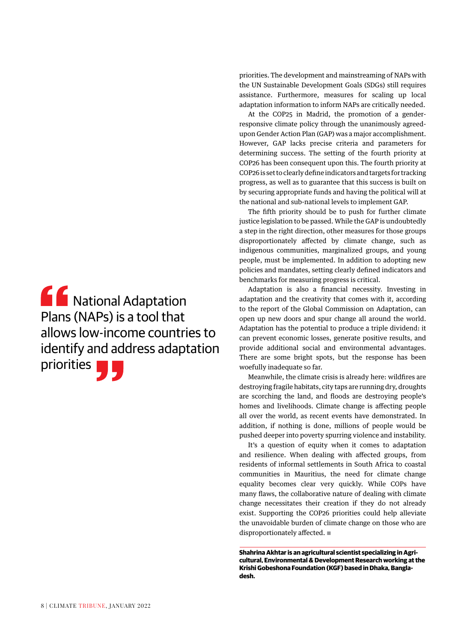**AC** National Adaptation Plans (NAPs) is a tool that allows low-income countries to identify and address adaptation priorities ||

priorities. The development and mainstreaming of NAPs with the UN Sustainable Development Goals (SDGs) still requires assistance. Furthermore, measures for scaling up local adaptation information to inform NAPs are critically needed.

At the COP25 in Madrid, the promotion of a genderresponsive climate policy through the unanimously agreedupon Gender Action Plan (GAP) was a major accomplishment. However, GAP lacks precise criteria and parameters for determining success. The setting of the fourth priority at COP26 has been consequent upon this. The fourth priority at COP26 is set to clearly define indicators and targets for tracking progress, as well as to guarantee that this success is built on by securing appropriate funds and having the political will at the national and sub-national levels to implement GAP.

The fifth priority should be to push for further climate justice legislation to be passed. While the GAP is undoubtedly a step in the right direction, other measures for those groups disproportionately affected by climate change, such as indigenous communities, marginalized groups, and young people, must be implemented. In addition to adopting new policies and mandates, setting clearly defined indicators and benchmarks for measuring progress is critical.

Adaptation is also a financial necessity. Investing in adaptation and the creativity that comes with it, according to the report of the Global Commission on Adaptation, can open up new doors and spur change all around the world. Adaptation has the potential to produce a triple dividend: it can prevent economic losses, generate positive results, and provide additional social and environmental advantages. There are some bright spots, but the response has been woefully inadequate so far.

Meanwhile, the climate crisis is already here: wildfires are destroying fragile habitats, city taps are running dry, droughts are scorching the land, and floods are destroying people's homes and livelihoods. Climate change is affecting people all over the world, as recent events have demonstrated. In addition, if nothing is done, millions of people would be pushed deeper into poverty spurring violence and instability.

It's a question of equity when it comes to adaptation and resilience. When dealing with affected groups, from residents of informal settlements in South Africa to coastal communities in Mauritius, the need for climate change equality becomes clear very quickly. While COPs have many flaws, the collaborative nature of dealing with climate change necessitates their creation if they do not already exist. Supporting the COP26 priorities could help alleviate the unavoidable burden of climate change on those who are disproportionately affected.  $\blacksquare$ 

**Shahrina Akhtar is an agricultural scientist specializing in Agricultural, Environmental & Development Research working at the Krishi Gobeshona Foundation (KGF) based in Dhaka, Bangladesh.**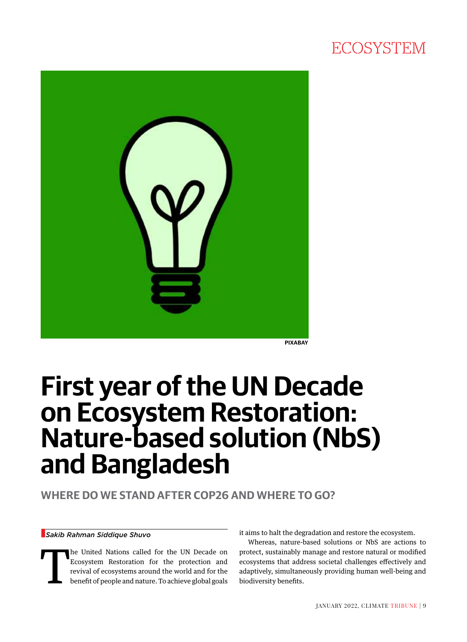### **ECOSYSTEM**



**PIXABAY**

### **First year of the UN Decade on Ecosystem Restoration: Nature-based solution (NbS) and Bangladesh**

**WHERE DO WE STAND AFTER COP26 AND WHERE TO GO?** 

#### n*Sakib Rahman Siddique Shuvo*

The United Nations called for the UN Decade on Ecosystem Restoration for the protection and revival of ecosystems around the world and for the benefit of people and nature. To achieve global goals Ecosystem Restoration for the protection and revival of ecosystems around the world and for the benefit of people and nature. To achieve global goals it aims to halt the degradation and restore the ecosystem.

Whereas, nature-based solutions or NbS are actions to protect, sustainably manage and restore natural or modified ecosystems that address societal challenges effectively and adaptively, simultaneously providing human well-being and biodiversity benefits.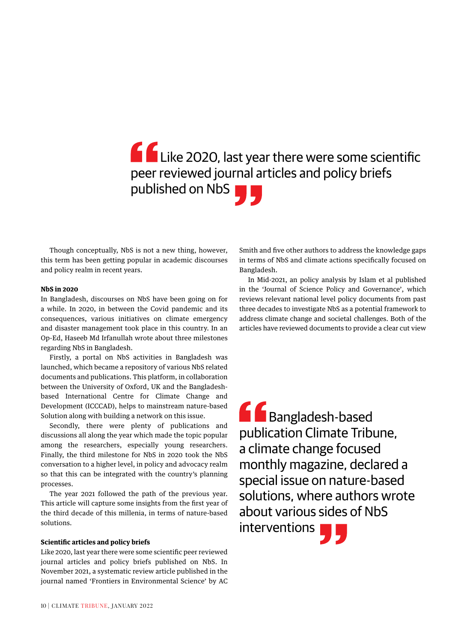### Like 2020, last year there were some scientific peer reviewed journal articles and policy briefs published on NbS **D**

Though conceptually, NbS is not a new thing, however, this term has been getting popular in academic discourses and policy realm in recent years.

#### **NbS in 2020**

In Bangladesh, discourses on NbS have been going on for a while. In 2020, in between the Covid pandemic and its consequences, various initiatives on climate emergency and disaster management took place in this country. In an Op-Ed, Haseeb Md Irfanullah wrote about three milestones regarding NbS in Bangladesh.

Firstly, a portal on NbS activities in Bangladesh was launched, which became a repository of various NbS related documents and publications. This platform, in collaboration between the University of Oxford, UK and the Bangladeshbased International Centre for Climate Change and Development (ICCCAD), helps to mainstream nature-based Solution along with building a network on this issue.

Secondly, there were plenty of publications and discussions all along the year which made the topic popular among the researchers, especially young researchers. Finally, the third milestone for NbS in 2020 took the NbS conversation to a higher level, in policy and advocacy realm so that this can be integrated with the country's planning processes.

The year 2021 followed the path of the previous year. This article will capture some insights from the first year of the third decade of this millenia, in terms of nature-based solutions.

#### **Scientific articles and policy briefs**

Like 2020, last year there were some scientific peer reviewed journal articles and policy briefs published on NbS. In November 2021, a systematic review article published in the journal named 'Frontiers in Environmental Science' by AC Smith and five other authors to address the knowledge gaps in terms of NbS and climate actions specifically focused on Bangladesh.

In Mid-2021, an policy analysis by Islam et al published in the 'Journal of Science Policy and Governance', which reviews relevant national level policy documents from past three decades to investigate NbS as a potential framework to address climate change and societal challenges. Both of the articles have reviewed documents to provide a clear cut view

**GG** Bangladesh-based publication Climate Tribune, a climate change focused monthly magazine, declared a special issue on nature-based solutions, where authors wrote about various sides of NbS interventions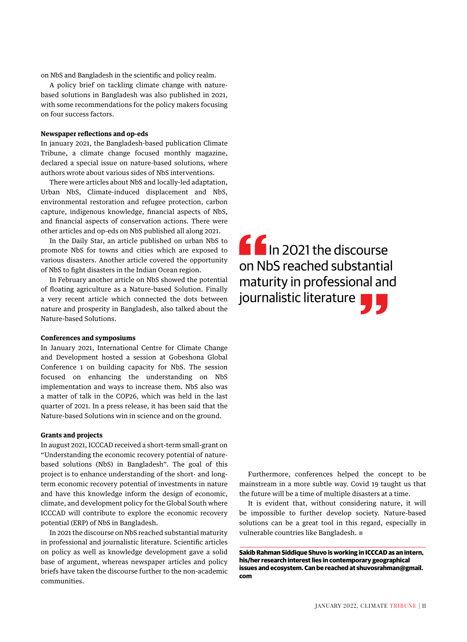on NbS and Bangladesh in the scientific and policy realm.

A policy brief on tackling climate change with naturebased solutions in Bangladesh was also published in 2021, with some recommendations for the policy makers focusing on four success factors.

#### **Newspaper reflections and op-eds**

In january 2021, the Bangladesh-based publication Climate Tribune, a climate change focused monthly magazine, declared a special issue on nature-based solutions, where authors wrote about various sides of NbS interventions.

There were articles about NbS and locally-led adaptation, Urban NbS, Climate-induced displacement and NbS, environmental restoration and refugee protection, carbon capture, indigenous knowledge, financial aspects of NbS, and financial aspects of conservation actions. There were other articles and op-eds on NbS published all along 2021.

In the Daily Star, an article published on urban NbS to promote NbS for towns and cities which are exposed to various disasters. Another article covered the opportunity of NbS to fight disasters in the Indian Ocean region.

In February another article on NbS showed the potential of floating agriculture as a Nature-based Solution. Finally a very recent article which connected the dots between nature and prosperity in Bangladesh, also talked about the Nature-based Solutions.

#### **Conferences and symposiums**

In January 2021, International Centre for Climate Change and Development hosted a session at Gobeshona Global Conference 1 on building capacity for NbS. The session focused on enhancing the understanding on NbS implementation and ways to increase them. NbS also was a matter of talk in the COP26, which was held in the last quarter of 2021. In a press release, it has been said that the Nature-based Solutions win in science and on the ground.

#### **Grants and projects**

In august 2021, ICCCAD received a short-term small-grant on "Understanding the economic recovery potential of naturebased solutions (NbS) in Bangladesh". The goal of this project is to enhance understanding of the short- and longterm economic recovery potential of investments in nature and have this knowledge inform the design of economic, climate, and development policy for the Global South where ICCCAD will contribute to explore the economic recovery potential (ERP) of NbS in Bangladesh.

In 2021 the discourse on NbS reached substantial maturity in professional and journalistic literature. Scientific articles on policy as well as knowledge development gave a solid base of argument, whereas newspaper articles and policy briefs have taken the discourse further to the non-academic communities.

**If** In 2021 the discourse on NbS reached substantial maturity in professional and journalistic literature

Furthermore, conferences helped the concept to be mainstream in a more subtle way. Covid 19 taught us that the future will be a time of multiple disasters at a time.

It is evident that, without considering nature, it will be impossible to further develop society. Nature-based solutions can be a great tool in this regard, especially in vulnerable countries like Bangladesh.  $\blacksquare$ 

**Sakib Rahman Siddique Shuvo is working in ICCCAD as an intern, his/her research interest lies in contemporary geographical issues and ecosystem. Can be reached at shuvosrahman@gmail. com**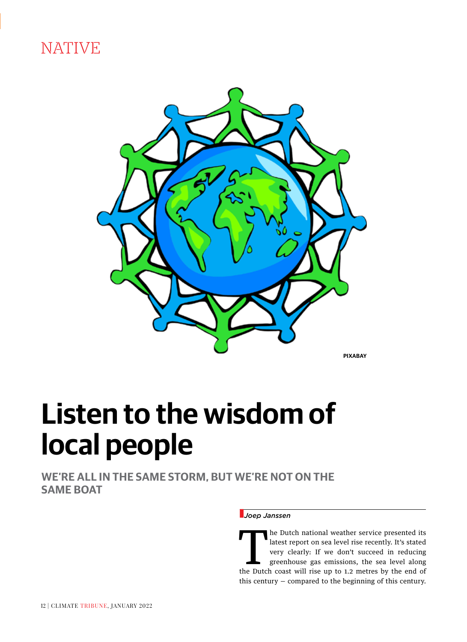NATIVE



**PIXABAY**

# **Listen to the wisdom of local people**

**WE'RE ALL IN THE SAME STORM, BUT WE'RE NOT ON THE SAME BOAT** 

#### n*Joep Janssen*

The Dutch national weather service presented its<br>latest report on sea level rise recently. It's stated<br>very clearly: If we don't succeed in reducing<br>greenhouse gas emissions, the sea level along<br>the Dutch coast will rise u latest report on sea level rise recently. It's stated very clearly: If we don't succeed in reducing greenhouse gas emissions, the sea level along the Dutch coast will rise up to 1.2 metres by the end of this century — compared to the beginning of this century.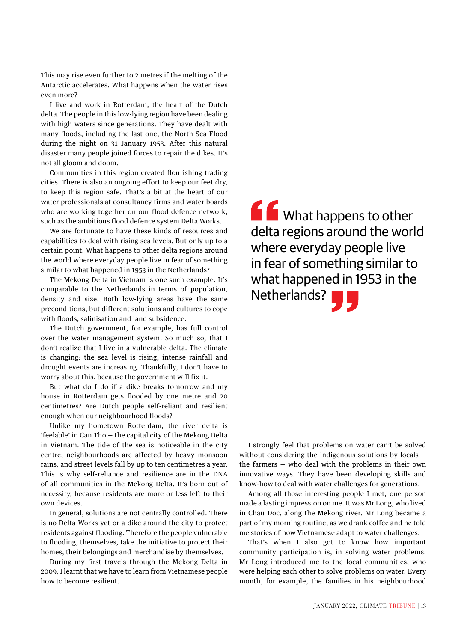This may rise even further to 2 metres if the melting of the Antarctic accelerates. What happens when the water rises even more?

I live and work in Rotterdam, the heart of the Dutch delta. The people in this low-lying region have been dealing with high waters since generations. They have dealt with many floods, including the last one, the North Sea Flood during the night on 31 January 1953. After this natural disaster many people joined forces to repair the dikes. It's not all gloom and doom.

Communities in this region created flourishing trading cities. There is also an ongoing effort to keep our feet dry, to keep this region safe. That's a bit at the heart of our water professionals at consultancy firms and water boards who are working together on our flood defence network, such as the ambitious flood defence system Delta Works.

We are fortunate to have these kinds of resources and capabilities to deal with rising sea levels. But only up to a certain point. What happens to other delta regions around the world where everyday people live in fear of something similar to what happened in 1953 in the Netherlands?

The Mekong Delta in Vietnam is one such example. It's comparable to the Netherlands in terms of population, density and size. Both low-lying areas have the same preconditions, but different solutions and cultures to cope with floods, salinisation and land subsidence.

The Dutch government, for example, has full control over the water management system. So much so, that I don't realize that I live in a vulnerable delta. The climate is changing: the sea level is rising, intense rainfall and drought events are increasing. Thankfully, I don't have to worry about this, because the government will fix it.

But what do I do if a dike breaks tomorrow and my house in Rotterdam gets flooded by one metre and 20 centimetres? Are Dutch people self-reliant and resilient enough when our neighbourhood floods?

Unlike my hometown Rotterdam, the river delta is 'feelable' in Can Tho — the capital city of the Mekong Delta in Vietnam. The tide of the sea is noticeable in the city centre; neighbourhoods are affected by heavy monsoon rains, and street levels fall by up to ten centimetres a year. This is why self-reliance and resilience are in the DNA of all communities in the Mekong Delta. It's born out of necessity, because residents are more or less left to their own devices.

In general, solutions are not centrally controlled. There is no Delta Works yet or a dike around the city to protect residents against flooding. Therefore the people vulnerable to flooding, themselves, take the initiative to protect their homes, their belongings and merchandise by themselves.

During my first travels through the Mekong Delta in 2009, I learnt that we have to learn from Vietnamese people how to become resilient.

**f** What happens to other delta regions around the world where everyday people live in fear of something similar to what happened in 1953 in the Netherlands? **The State of Strategiers** 

I strongly feel that problems on water can't be solved without considering the indigenous solutions by locals the farmers — who deal with the problems in their own innovative ways. They have been developing skills and know-how to deal with water challenges for generations.

Among all those interesting people I met, one person made a lasting impression on me. It was Mr Long, who lived in Chau Doc, along the Mekong river. Mr Long became a part of my morning routine, as we drank coffee and he told me stories of how Vietnamese adapt to water challenges.

That's when I also got to know how important community participation is, in solving water problems. Mr Long introduced me to the local communities, who were helping each other to solve problems on water. Every month, for example, the families in his neighbourhood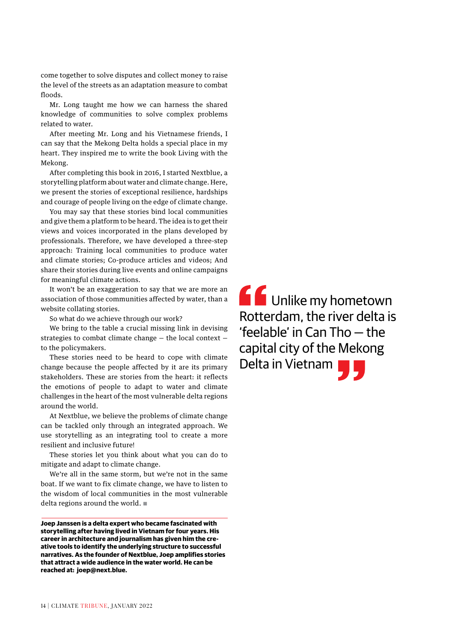come together to solve disputes and collect money to raise the level of the streets as an adaptation measure to combat floods.

Mr. Long taught me how we can harness the shared knowledge of communities to solve complex problems related to water.

After meeting Mr. Long and his Vietnamese friends, I can say that the Mekong Delta holds a special place in my heart. They inspired me to write the book Living with the Mekong.

After completing this book in 2016, I started Nextblue, a storytelling platform about water and climate change. Here, we present the stories of exceptional resilience, hardships and courage of people living on the edge of climate change.

You may say that these stories bind local communities and give them a platform to be heard. The idea is to get their views and voices incorporated in the plans developed by professionals. Therefore, we have developed a three-step approach: Training local communities to produce water and climate stories; Co-produce articles and videos; And share their stories during live events and online campaigns for meaningful climate actions.

It won't be an exaggeration to say that we are more an association of those communities affected by water, than a website collating stories.

So what do we achieve through our work?

We bring to the table a crucial missing link in devising strategies to combat climate change — the local context to the policymakers.

These stories need to be heard to cope with climate change because the people affected by it are its primary stakeholders. These are stories from the heart: it reflects the emotions of people to adapt to water and climate challenges in the heart of the most vulnerable delta regions around the world.

At Nextblue, we believe the problems of climate change can be tackled only through an integrated approach. We use storytelling as an integrating tool to create a more resilient and inclusive future!

These stories let you think about what you can do to mitigate and adapt to climate change.

We're all in the same storm, but we're not in the same boat. If we want to fix climate change, we have to listen to the wisdom of local communities in the most vulnerable delta regions around the world.  $\blacksquare$ 

**Joep Janssen is a delta expert who became fascinated with storytelling after having lived in Vietnam for four years. His career in architecture and journalism has given him the creative tools to identify the underlying structure to successful narratives. As the founder of Nextblue, Joep amplifies stories that attract a wide audience in the water world. He can be reached at: joep@next.blue.** 

**CC** Unlike my hometown Rotterdam, the river delta is 'feelable' in Can Tho — the capital city of the Mekong Delta in Vietnam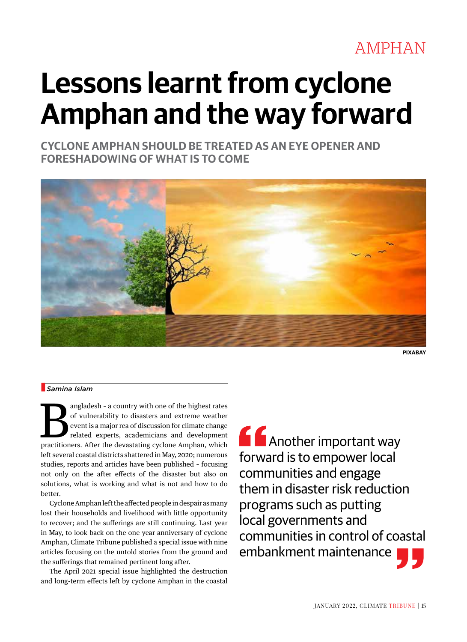### AMPHAN

# **Lessons learnt from cyclone Amphan and the way forward**

**CYCLONE AMPHAN SHOULD BE TREATED AS AN EYE OPENER AND FORESHADOWING OF WHAT IS TO COME**



**PIXABAY**

#### n *Samina Islam*

angladesh - a country with one of the highest rates of vulnerability to disasters and extreme weather event is a major rea of discussion for climate change related experts, academicians and development practitioners. After the devastating cyclone Amphan, which left several coastal districts shattered in May, 2020; numerous studies, reports and articles have been published – focusing not only on the after effects of the disaster but also on solutions, what is working and what is not and how to do better.

Cyclone Amphan left the affected people in despair as many lost their households and livelihood with little opportunity to recover; and the sufferings are still continuing. Last year in May, to look back on the one year anniversary of cyclone Amphan, Climate Tribune published a special issue with nine articles focusing on the untold stories from the ground and the sufferings that remained pertinent long after.

The April 2021 special issue highlighted the destruction and long-term effects left by cyclone Amphan in the coastal

**A** Another important way forward is to empower local communities and engage them in disaster risk reduction programs such as putting local governments and communities in control of coastal embankment maintenance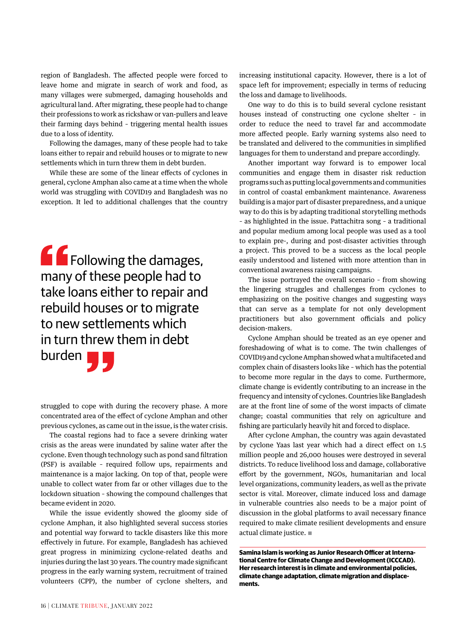region of Bangladesh. The affected people were forced to leave home and migrate in search of work and food, as many villages were submerged, damaging households and agricultural land. After migrating, these people had to change their professions to work as rickshaw or van-pullers and leave their farming days behind – triggering mental health issues due to a loss of identity.

Following the damages, many of these people had to take loans either to repair and rebuild houses or to migrate to new settlements which in turn threw them in debt burden.

While these are some of the linear effects of cyclones in general, cyclone Amphan also came at a time when the whole world was struggling with COVID19 and Bangladesh was no exception. It led to additional challenges that the country

**f f** Following the damages, many of these people had to take loans either to repair and rebuild houses or to migrate to new settlements which in turn threw them in debt burden

struggled to cope with during the recovery phase. A more concentrated area of the effect of cyclone Amphan and other previous cyclones, as came out in the issue, is the water crisis.

The coastal regions had to face a severe drinking water crisis as the areas were inundated by saline water after the cyclone. Even though technology such as pond sand filtration (PSF) is available – required follow ups, repairments and maintenance is a major lacking. On top of that, people were unable to collect water from far or other villages due to the lockdown situation – showing the compound challenges that became evident in 2020.

While the issue evidently showed the gloomy side of cyclone Amphan, it also highlighted several success stories and potential way forward to tackle disasters like this more effectively in future. For example, Bangladesh has achieved great progress in minimizing cyclone-related deaths and injuries during the last 30 years. The country made significant progress in the early warning system, recruitment of trained volunteers (CPP), the number of cyclone shelters, and increasing institutional capacity. However, there is a lot of space left for improvement; especially in terms of reducing the loss and damage to livelihoods.

One way to do this is to build several cyclone resistant houses instead of constructing one cyclone shelter – in order to reduce the need to travel far and accommodate more affected people. Early warning systems also need to be translated and delivered to the communities in simplified languages for them to understand and prepare accordingly.

Another important way forward is to empower local communities and engage them in disaster risk reduction programs such as putting local governments and communities in control of coastal embankment maintenance. Awareness building is a major part of disaster preparedness, and a unique way to do this is by adapting traditional storytelling methods – as highlighted in the issue. Pattachitra song – a traditional and popular medium among local people was used as a tool to explain pre-, during and post-disaster activities through a project. This proved to be a success as the local people easily understood and listened with more attention than in conventional awareness raising campaigns.

The issue portrayed the overall scenario – from showing the lingering struggles and challenges from cyclones to emphasizing on the positive changes and suggesting ways that can serve as a template for not only development practitioners but also government officials and policy decision-makers.

Cyclone Amphan should be treated as an eye opener and foreshadowing of what is to come. The twin challenges of COVID19 and cyclone Amphan showed what a multifaceted and complex chain of disasters looks like – which has the potential to become more regular in the days to come. Furthermore, climate change is evidently contributing to an increase in the frequency and intensity of cyclones. Countries like Bangladesh are at the front line of some of the worst impacts of climate change; coastal communities that rely on agriculture and fishing are particularly heavily hit and forced to displace.

After cyclone Amphan, the country was again devastated by cyclone Yaas last year which had a direct effect on 1.5 million people and 26,000 houses were destroyed in several districts. To reduce livelihood loss and damage, collaborative effort by the government, NGOs, humanitarian and local level organizations, community leaders, as well as the private sector is vital. Moreover, climate induced loss and damage in vulnerable countries also needs to be a major point of discussion in the global platforms to avail necessary finance required to make climate resilient developments and ensure actual climate justice.  $\blacksquare$ 

**Samina Islam is working as Junior Research Officer at International Centre for Climate Change and Development (ICCCAD). Her research interest is in climate and environmental policies, climate change adaptation, climate migration and displacements.**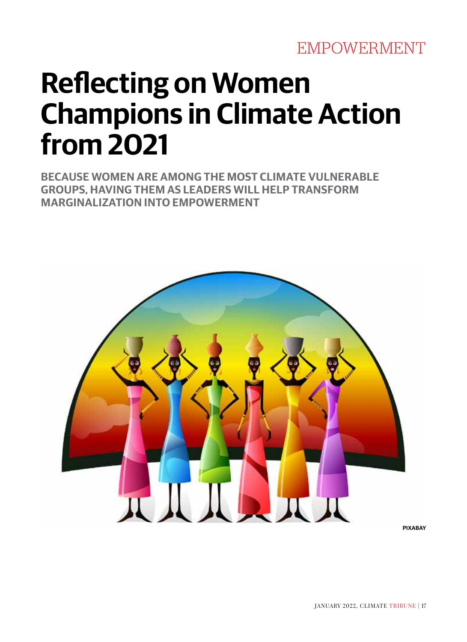# **Reflecting on Women Champions in Climate Action from 2021**

**BECAUSE WOMEN ARE AMONG THE MOST CLIMATE VULNERABLE GROUPS, HAVING THEM AS LEADERS WILL HELP TRANSFORM MARGINALIZATION INTO EMPOWERMENT**

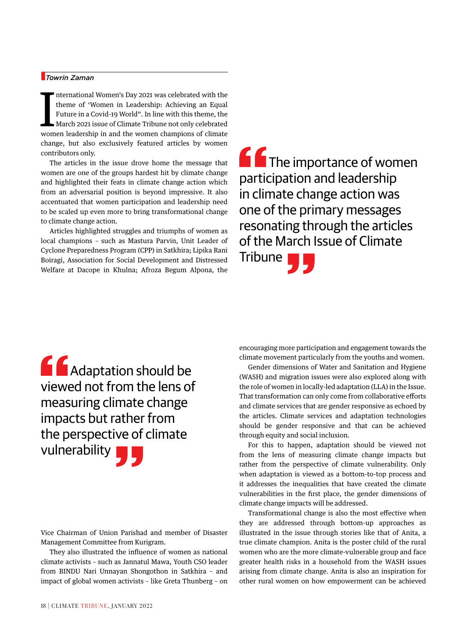#### n*Towrin Zaman*

International Women's Day 2021 was celebrated with the theme of 'Women in Leadership: Achieving an Equal Future in a Covid-19 World". In line with this theme, the March 2021 issue of Climate Tribune not only celebrated wom nternational Women's Day 2021 was celebrated with the theme of 'Women in Leadership: Achieving an Equal Future in a Covid-19 World". In line with this theme, the March 2021 issue of Climate Tribune not only celebrated change, but also exclusively featured articles by women contributors only.

The articles in the issue drove home the message that women are one of the groups hardest hit by climate change and highlighted their feats in climate change action which from an adversarial position is beyond impressive. It also accentuated that women participation and leadership need to be scaled up even more to bring transformational change to climate change action.

Articles highlighted struggles and triumphs of women as local champions – such as Mastura Parvin, Unit Leader of Cyclone Preparedness Program (CPP) in Satkhira; Lipika Rani Boiragi, Association for Social Development and Distressed Welfare at Dacope in Khulna; Afroza Begum Alpona, the **f** The importance of women participation and leadership in climate change action was one of the primary messages resonating through the articles of the March Issue of Climate Tribune

 Adaptation should be viewed not from the lens of measuring climate change impacts but rather from the perspective of climate vulnerability

Vice Chairman of Union Parishad and member of Disaster Management Committee from Kurigram.

They also illustrated the influence of women as national climate activists – such as Jannatul Mawa, Youth CSO leader from BINDU Nari Unnayan Shongothon in Satkhira – and impact of global women activists – like Greta Thunberg – on

encouraging more participation and engagement towards the climate movement particularly from the youths and women.

Gender dimensions of Water and Sanitation and Hygiene (WASH) and migration issues were also explored along with the role of women in locally-led adaptation (LLA) in the Issue. That transformation can only come from collaborative efforts and climate services that are gender responsive as echoed by the articles. Climate services and adaptation technologies should be gender responsive and that can be achieved through equity and social inclusion.

For this to happen, adaptation should be viewed not from the lens of measuring climate change impacts but rather from the perspective of climate vulnerability. Only when adaptation is viewed as a bottom-to-top process and it addresses the inequalities that have created the climate vulnerabilities in the first place, the gender dimensions of climate change impacts will be addressed.

Transformational change is also the most effective when they are addressed through bottom-up approaches as illustrated in the issue through stories like that of Anita, a true climate champion. Anita is the poster child of the rural women who are the more climate-vulnerable group and face greater health risks in a household from the WASH issues arising from climate change. Anita is also an inspiration for other rural women on how empowerment can be achieved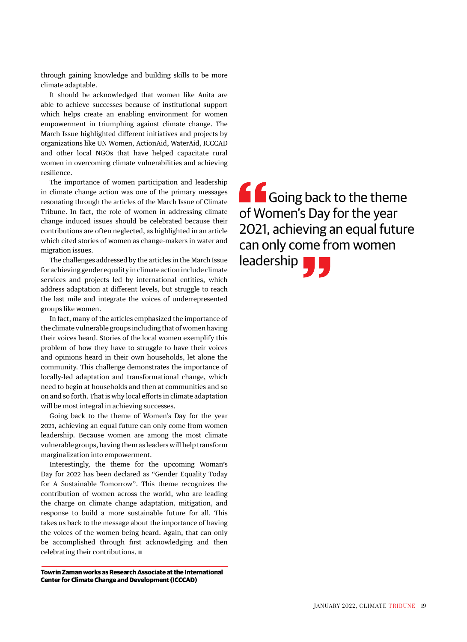through gaining knowledge and building skills to be more climate adaptable.

It should be acknowledged that women like Anita are able to achieve successes because of institutional support which helps create an enabling environment for women empowerment in triumphing against climate change. The March Issue highlighted different initiatives and projects by organizations like UN Women, ActionAid, WaterAid, ICCCAD and other local NGOs that have helped capacitate rural women in overcoming climate vulnerabilities and achieving resilience.

The importance of women participation and leadership in climate change action was one of the primary messages resonating through the articles of the March Issue of Climate Tribune. In fact, the role of women in addressing climate change induced issues should be celebrated because their contributions are often neglected, as highlighted in an article which cited stories of women as change-makers in water and migration issues.

The challenges addressed by the articles in the March Issue for achieving gender equality in climate action include climate services and projects led by international entities, which address adaptation at different levels, but struggle to reach the last mile and integrate the voices of underrepresented groups like women.

In fact, many of the articles emphasized the importance of the climate vulnerable groups including that of women having their voices heard. Stories of the local women exemplify this problem of how they have to struggle to have their voices and opinions heard in their own households, let alone the community. This challenge demonstrates the importance of locally-led adaptation and transformational change, which need to begin at households and then at communities and so on and so forth. That is why local efforts in climate adaptation will be most integral in achieving successes.

Going back to the theme of Women's Day for the year 2021, achieving an equal future can only come from women leadership. Because women are among the most climate vulnerable groups, having them as leaders will help transform marginalization into empowerment.

Interestingly, the theme for the upcoming Woman's Day for 2022 has been declared as "Gender Equality Today for A Sustainable Tomorrow". This theme recognizes the contribution of women across the world, who are leading the charge on climate change adaptation, mitigation, and response to build a more sustainable future for all. This takes us back to the message about the importance of having the voices of the women being heard. Again, that can only be accomplished through first acknowledging and then celebrating their contributions.  $\blacksquare$ 

**Towrin Zaman works as Research Associate at the International Center for Climate Change and Development (ICCCAD)**

**Going back to the theme** of Women's Day for the year 2021, achieving an equal future can only come from women leadership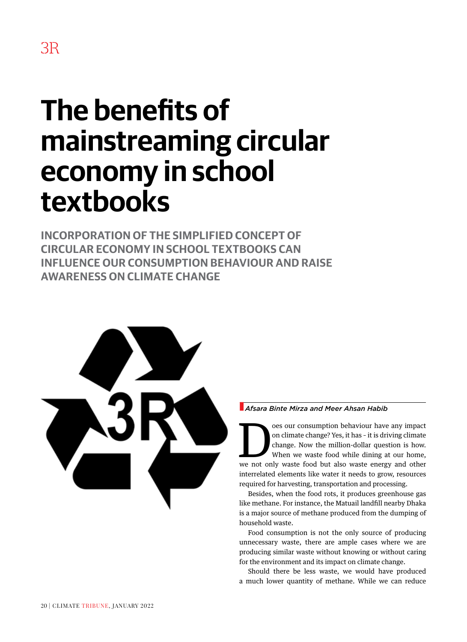# **The benefits of mainstreaming circular economy in school textbooks**

**INCORPORATION OF THE SIMPLIFIED CONCEPT OF CIRCULAR ECONOMY IN SCHOOL TEXTBOOKS CAN INFLUENCE OUR CONSUMPTION BEHAVIOUR AND RAISE AWARENESS ON CLIMATE CHANGE** 



#### **A** *Afsara Binte Mirza and Meer Ahsan Habib*

France our consumption behaviour have any impact<br>on climate change? Yes, it has - it is driving climate<br>change. Now the million-dollar question is how.<br>When we waste food while dining at our home,<br>we not only waste food bu on climate change? Yes, it has – it is driving climate change. Now the million-dollar question is how. When we waste food while dining at our home, we not only waste food but also waste energy and other interrelated elements like water it needs to grow, resources required for harvesting, transportation and processing.

Besides, when the food rots, it produces greenhouse gas like methane. For instance, the Matuail landfill nearby Dhaka is a major source of methane produced from the dumping of household waste.

Food consumption is not the only source of producing unnecessary waste, there are ample cases where we are producing similar waste without knowing or without caring for the environment and its impact on climate change.

Should there be less waste, we would have produced a much lower quantity of methane. While we can reduce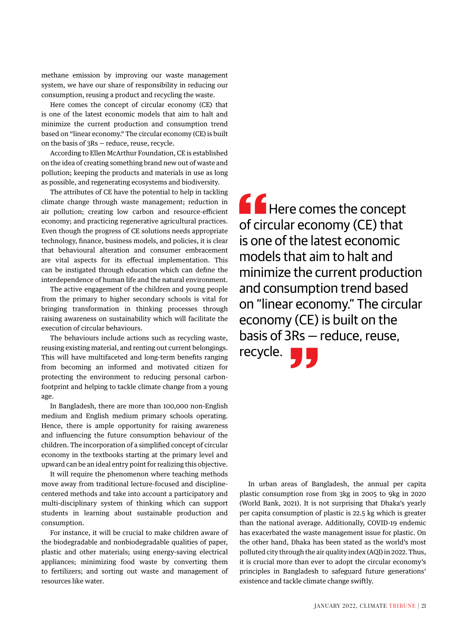methane emission by improving our waste management system, we have our share of responsibility in reducing our consumption, reusing a product and recycling the waste.

Here comes the concept of circular economy (CE) that is one of the latest economic models that aim to halt and minimize the current production and consumption trend based on "linear economy." The circular economy (CE) is built on the basis of 3Rs — reduce, reuse, recycle.

According to Ellen McArthur Foundation, CE is established on the idea of creating something brand new out of waste and pollution; keeping the products and materials in use as long as possible, and regenerating ecosystems and biodiversity.

The attributes of CE have the potential to help in tackling climate change through waste management; reduction in air pollution; creating low carbon and resource-efficient economy; and practicing regenerative agricultural practices. Even though the progress of CE solutions needs appropriate technology, finance, business models, and policies, it is clear that behavioural alteration and consumer embracement are vital aspects for its effectual implementation. This can be instigated through education which can define the interdependence of human life and the natural environment.

The active engagement of the children and young people from the primary to higher secondary schools is vital for bringing transformation in thinking processes through raising awareness on sustainability which will facilitate the execution of circular behaviours.

The behaviours include actions such as recycling waste, reusing existing material, and renting out current belongings. This will have multifaceted and long-term benefits ranging from becoming an informed and motivated citizen for protecting the environment to reducing personal carbonfootprint and helping to tackle climate change from a young age.

In Bangladesh, there are more than 100,000 non-English medium and English medium primary schools operating. Hence, there is ample opportunity for raising awareness and influencing the future consumption behaviour of the children. The incorporation of a simplified concept of circular economy in the textbooks starting at the primary level and upward can be an ideal entry point for realizing this objective.

It will require the phenomenon where teaching methods move away from traditional lecture-focused and disciplinecentered methods and take into account a participatory and multi-disciplinary system of thinking which can support students in learning about sustainable production and consumption.

For instance, it will be crucial to make children aware of the biodegradable and nonbiodegradable qualities of paper, plastic and other materials; using energy-saving electrical appliances; minimizing food waste by converting them to fertilizers; and sorting out waste and management of resources like water.

**A** Here comes the concept of circular economy (CE) that is one of the latest economic models that aim to halt and minimize the current production and consumption trend based on "linear economy." The circular economy (CE) is built on the basis of 3Rs — reduce, reuse, recycle.

In urban areas of Bangladesh, the annual per capita plastic consumption rose from 3kg in 2005 to 9kg in 2020 (World Bank, 2021). It is not surprising that Dhaka's yearly per capita consumption of plastic is 22.5 kg which is greater than the national average. Additionally, COVID-19 endemic has exacerbated the waste management issue for plastic. On the other hand, Dhaka has been stated as the world's most polluted city through the air quality index (AQI) in 2022. Thus, it is crucial more than ever to adopt the circular economy's principles in Bangladesh to safeguard future generations' existence and tackle climate change swiftly.